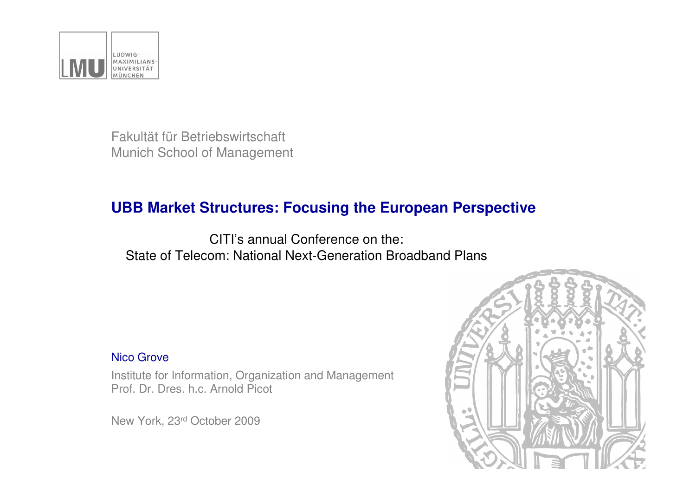

Fakultät für BetriebswirtschaftMunich School of Management

### **UBB Market Structures: Focusing the European Perspective**

CITI's annual Conference on the:State of Telecom: National Next-Generation Broadband Plans

#### Nico Grove

Institute for Information, Organization and ManagementProf. Dr. Dres. h.c. Arnold Picot

New York, 23rd October 2009

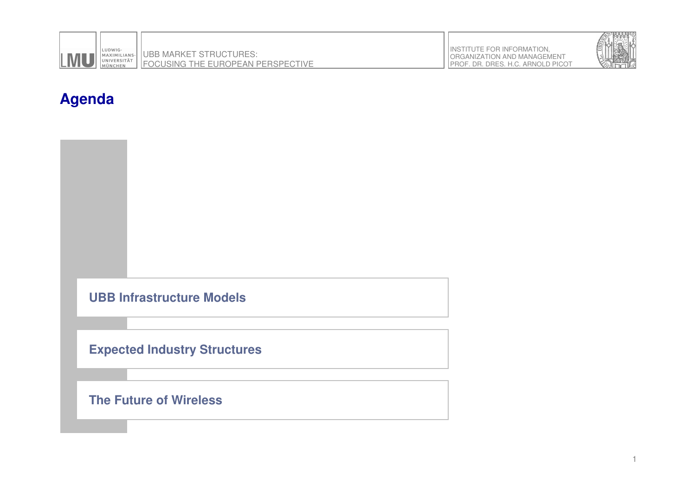



### **Agenda**



#### **Expected Industry Structures**

**The Future of Wireless**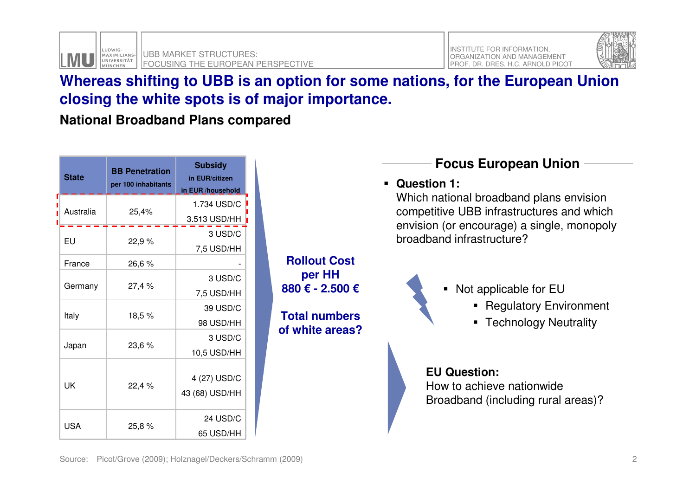



#### **Whereas shifting to UBB is an option for some nations, for the European Union closing the white spots is of major importance.**

**National Broadband Plans compared**

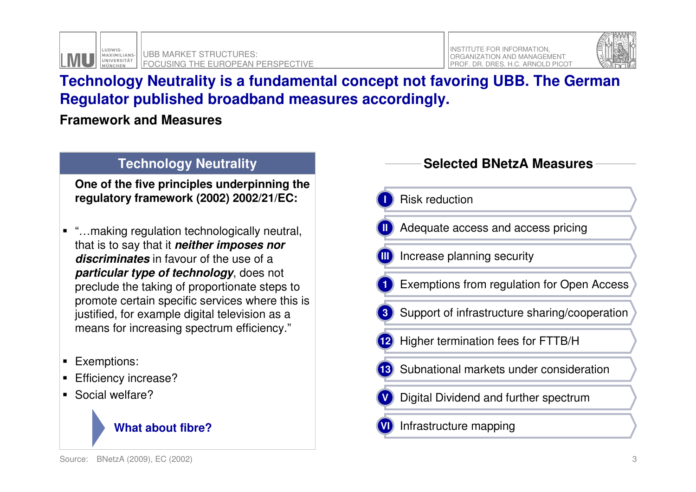



### **Technology Neutrality is a fundamental concept not favoring UBB. The German Regulator published broadband measures accordingly.**

**Framework and Measures**

#### **Technology Neutrality**

**One of the five principles underpinning the regulatory framework (2002) 2002/21/EC:**

- "…making regulation technologically neutral, that is to say that it **neither imposes nor discriminates** in favour of the use of a **particular type of technology**, does not preclude the taking of proportionate steps to promote certain specific services where this is justified, for example digital television as a means for increasing spectrum efficiency."
- **Exemptions:**
- **Efficiency increase?**
- Social welfare?



#### **Selected BNetzA Measures**

**I**Risk reduction

- Adequate access and access pricing**II**
- Increase planning security**III**
- Exemptions from regulation for Open Access**1**
- Support of infrastructure sharing/cooperation**3**
- Higher termination fees for FTTB/H**12**
- **13** Subnational markets under consideration
- Digital Dividend and further spectrum**V**
- Infrastructure mapping**VI**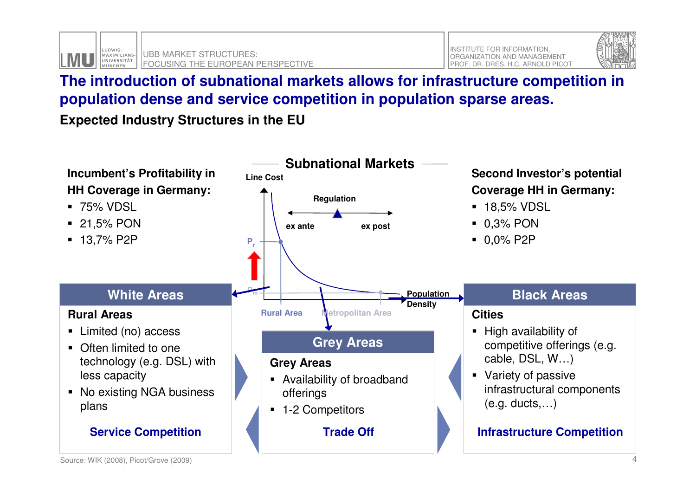



### **The introduction of subnational markets allows for infrastructure competition in population dense and service competition in population sparse areas.**

**Expected Industry Structures in the EU**

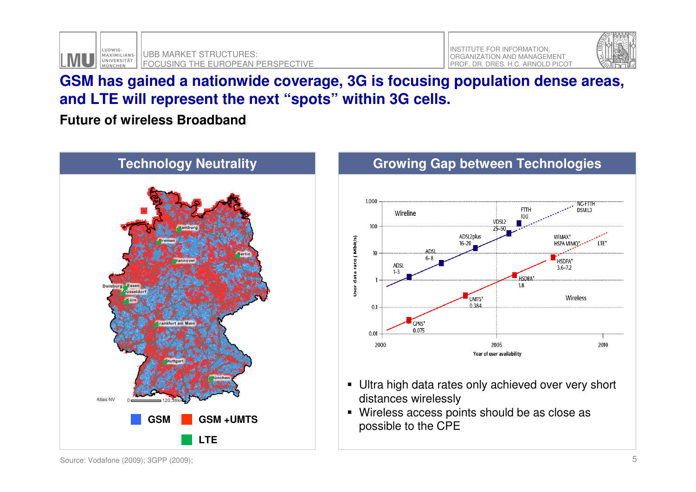



#### **GSM has gained a nationwide coverage, 3G is focusing population dense areas, and LTE will represent the next "spots" within 3G cells.**

**Future of wireless Broadband**





- Ultra high data rates only achieved over very short distances wirelessly
- Wireless access points should be as close as possible to the CPE

Source: Vodafone (2009); 3GPP (2009);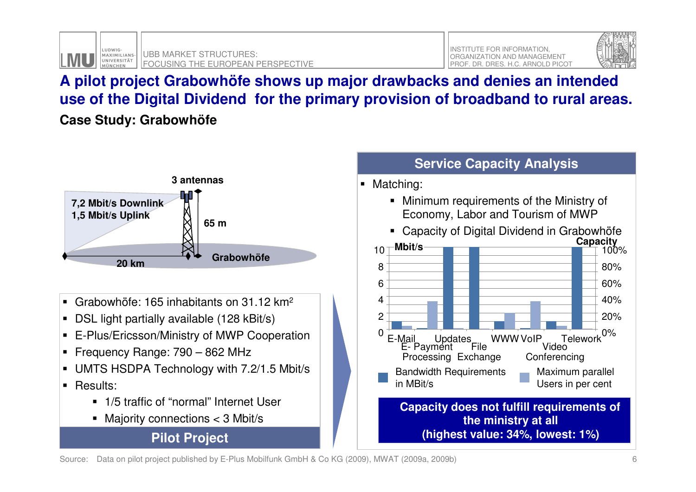



# **A pilot project Grabowhöfe shows up major drawbacks and denies an intended use of the Digital Dividend for the primary provision of broadband to rural areas.**

**Case Study: Grabowhöfe**



- Grabowhöfe: 165 inhabitants on 31.12 km<sup>2</sup>
- DSL light partially available (128 kBit/s)
- E-Plus/Ericsson/Ministry of MWP Cooperation
- Frequency Range: 790 862 MHz
- UMTS HSDPA Technology with 7.2/1.5 Mbit/s
- Results:
	- 1/5 traffic of "normal" Internet User
	- Majority connections < 3 Mbit/s

**Pilot Project**



Source: Data on pilot project published by E-Plus Mobilfunk GmbH & Co KG (2009), MWAT (2009a, 2009b)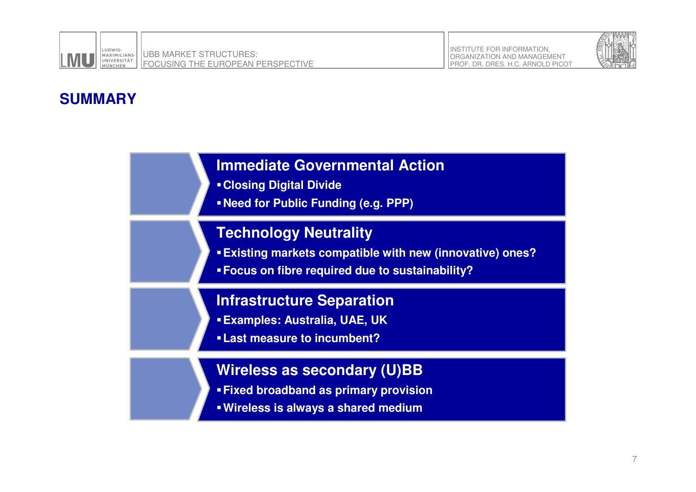



## **SUMMARY**

#### **Immediate Governmental Action**

- **Closing Digital Divide**
- **Need for Public Funding (e.g. PPP)**

#### **Technology Neutrality**

- **Existing markets compatible with new (innovative) ones?**
- **Focus on fibre required due to sustainability?**

#### **Infrastructure Separation**

- **Examples: Australia, UAE, UK**
- **Last measure to incumbent?**

#### **Wireless as secondary (U)BB**

- **Fixed broadband as primary provision**
- **Wireless is always a shared medium**